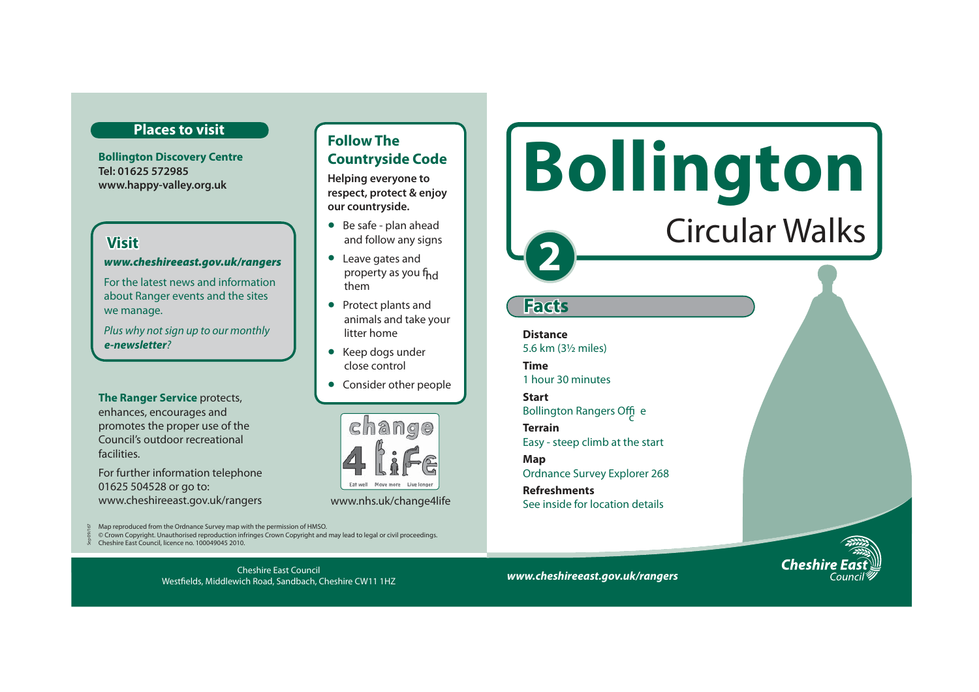## **Places to visit**

**Bollington Discovery Centre Tel: 01625 572985 www.happy-valley.org.uk** 

## **Visit**

Sep 09/167

#### *www.cheshireeast.gov.uk/rangers*

For the latest news and information about Ranger events and the sites we manage.

Plus why not sign up to our monthly *e-newsletter*?

**The Ranger Service** protects, enhances, encourages and promotes the proper use of the Council's outdoor recreational facilities.

For further information telephone 01625 504528 or go to: www.cheshireeast.gov.uk/rangers www.nhs.uk/change4life

Map reproduced from the Ordnance Survey map with the permission of HMSO.

© Crown Copyright. Unauthorised reproduction infringes Crown Copyright and may lead to legal or civil proceedings. Cheshire East Council, licence no. 100049045 2010.

> Cheshire East Council Westfields, Middlewich Road, Sandbach, Cheshire CW11 1HZ

## **Follow The Countryside Code**

**Helping everyone to respect, protect & enjoy our countryside.**

- Be safe plan ahead and follow any signs
- Leave gates and property as you f<sub>hd</sub> them
- Protect plants and animals and take your litter home
- Keep dogs under close control
- Consider other people



# **Bollington**  Circular Walks**2**

## **Facts**

**Distance** 5.6 km (3½ miles)

**Time** 1 hour 30 minutes

**Start** Bollington Rangers Offic <sup>e</sup>

**Terrain** Easy - steep climb at the start

**Map**  Ordnance Survey Explorer 268

**Refreshments** See inside for location details

**Cheshi** 

*www.cheshireeast.gov.uk/rangers*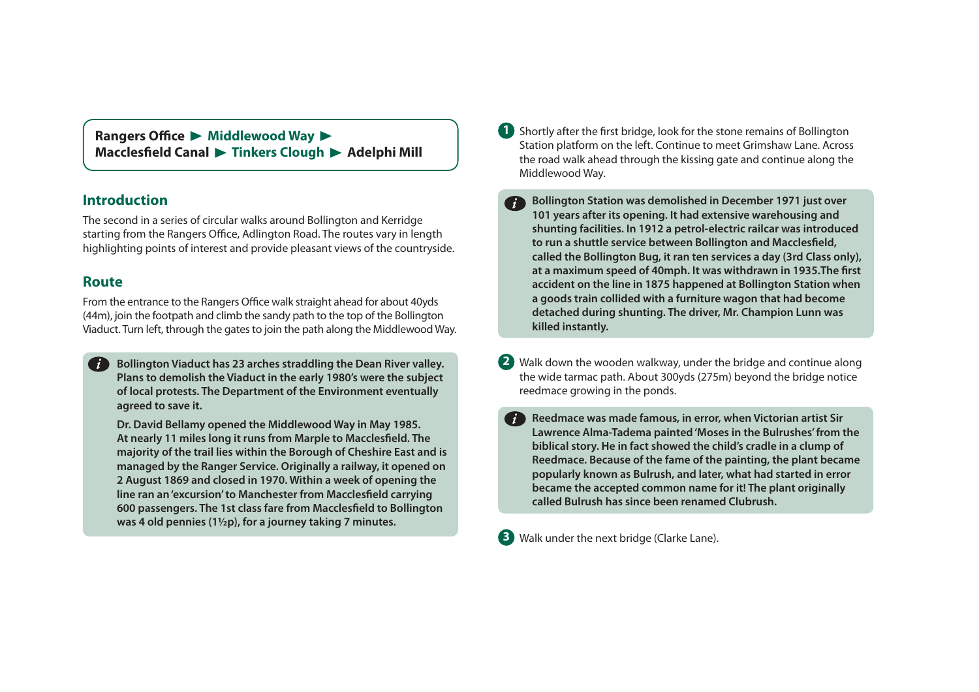**Rangers Office > Middlewood Way >** Macclesfield Canal > Tinkers Clough > Adelphi Mill

## **Introduction**

The second in a series of circular walks around Bollington and Kerridge starting from the Rangers Office, Adlington Road. The routes vary in length highlighting points of interest and provide pleasant views of the countryside.

## **Route**

*i*

From the entrance to the Rangers Office walk straight ahead for about 40yds (44m), join the footpath and climb the sandy path to the top of the Bollington Viaduct. Turn left, through the gates to join the path along the Middlewood Way.

**Bollington Viaduct has 23 arches straddling the Dean River valley. Plans to demolish the Viaduct in the early 1980's were the subject of local protests. The Department of the Environment eventually agreed to save it.** 

**Dr. David Bellamy opened the Middlewood Way in May 1985.**  At nearly 11 miles long it runs from Marple to Macclesfield. The **majority of the trail lies within the Borough of Cheshire East and is managed by the Ranger Service. Originally a railway, it opened on 2 August 1869 and closed in 1970. Within a week of opening the**  line ran an 'excursion' to Manchester from Macclesfield carrying **600 passengers. The 1st class fare from Macclesfield to Bollington was 4 old pennies (1½p), for a journey taking 7 minutes.** 

**1** Shortly after the first bridge, look for the stone remains of Bollington Station platform on the left. Continue to meet Grimshaw Lane. Across the road walk ahead through the kissing gate and continue along the Middlewood Way.

**Bollington Station was demolished in December 1971 just over 101 years after its opening. It had extensive warehousing and shunting facilities. In 1912 a petrol-electric railcar was introduced**  to run a shuttle service between Bollington and Macclesfield, **called the Bollington Bug, it ran ten services a day (3rd Class only),**  at a maximum speed of 40mph. It was withdrawn in 1935. The first **accident on the line in 1875 happened at Bollington Station when a goods train collided with a furniture wagon that had become detached during shunting. The driver, Mr. Champion Lunn was killed instantly.**  *i*

Walk down the wooden walkway, under the bridge and continue along **2**  the wide tarmac path. About 300yds (275m) beyond the bridge notice reedmace growing in the ponds.

**Reedmace was made famous, in error, when Victorian artist Sir Lawrence Alma-Tadema painted 'Moses in the Bulrushes' from the biblical story. He in fact showed the child's cradle in a clump of Reedmace. Because of the fame of the painting, the plant became popularly known as Bulrush, and later, what had started in error became the accepted common name for it! The plant originally called Bulrush has since been renamed Clubrush.** *i*

**3** Walk under the next bridge (Clarke Lane).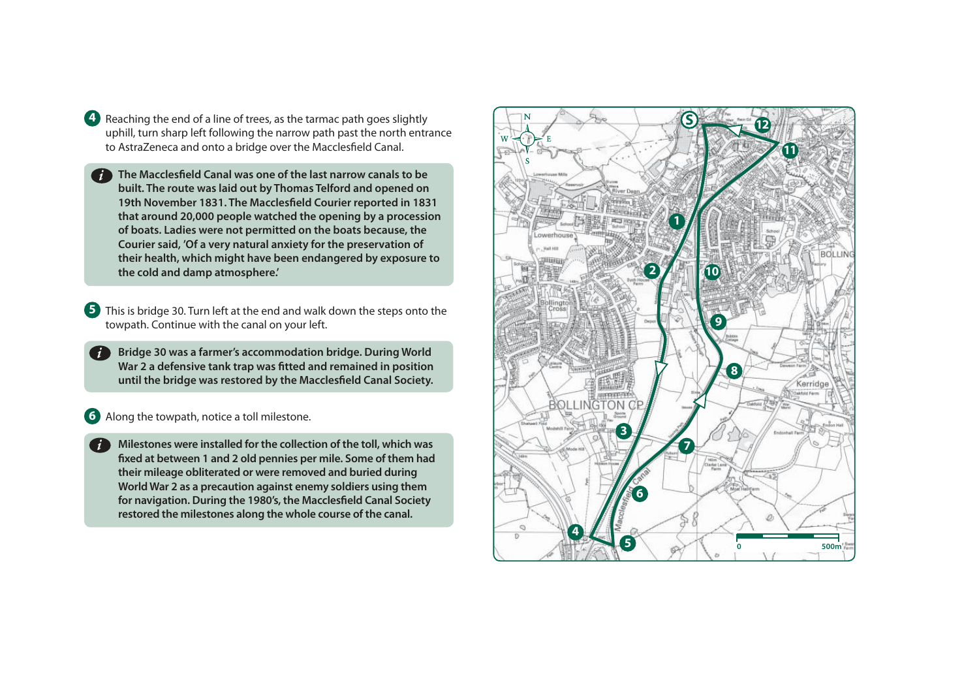- **4** Reaching the end of a line of trees, as the tarmac path goes slightly uphill, turn sharp left following the narrow path past the north entrance to AstraZeneca and onto a bridge over the Macclesfield Canal.
- **The Macclesfield Canal was one of the last narrow canals to be**  *i***built. The route was laid out by Thomas Telford and opened on 19th November 1831. The Macclesfield Courier reported in 1831 that around 20,000 people watched the opening by a procession of boats. Ladies were not permitted on the boats because, the Courier said, 'Of a very natural anxiety for the preservation of their health, which might have been endangered by exposure to the cold and damp atmosphere.'**
- **5** This is bridge 30. Turn left at the end and walk down the steps onto the towpath. Continue with the canal on your left.
	- **Bridge 30 was a farmer's accommodation bridge. During World War 2 a defensive tank trap was fitted and remained in position until the bridge was restored by the Macclesfield Canal Society.**

### **6** Along the towpath, notice a toll milestone.

**Milestones were installed for the collection of the toll, which was fixed at between 1 and 2 old pennies per mile. Some of them had their mileage obliterated or were removed and buried during World War 2 as a precaution against enemy soldiers using them for navigation. During the 1980's, the Macclesfield Canal Society restored the milestones along the whole course of the canal.**  *i*